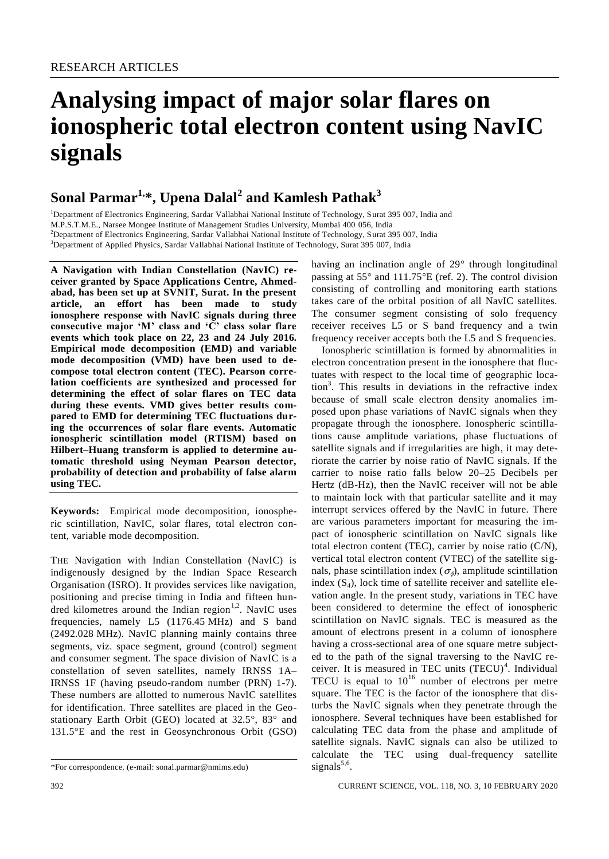# **Analysing impact of major solar flares on ionospheric total electron content using NavIC signals**

## **Sonal Parmar1, \*, Upena Dalal<sup>2</sup> and Kamlesh Pathak<sup>3</sup>**

<sup>1</sup>Department of Electronics Engineering, Sardar Vallabhai National Institute of Technology, Surat 395 007, India and M.P.S.T.M.E., Narsee Mongee Institute of Management Studies University, Mumbai 400 056, India <sup>2</sup>Department of Electronics Engineering, Sardar Vallabhai National Institute of Technology, Surat 395 007, India <sup>3</sup>Department of Applied Physics, Sardar Vallabhai National Institute of Technology, Surat 395 007, India

**A Navigation with Indian Constellation (NavIC) receiver granted by Space Applications Centre, Ahmedabad, has been set up at SVNIT, Surat. In the present article, an effort has been made to study ionosphere response with NavIC signals during three consecutive major 'M' class and 'C' class solar flare events which took place on 22, 23 and 24 July 2016. Empirical mode decomposition (EMD) and variable mode decomposition (VMD) have been used to decompose total electron content (TEC). Pearson correlation coefficients are synthesized and processed for determining the effect of solar flares on TEC data during these events. VMD gives better results compared to EMD for determining TEC fluctuations during the occurrences of solar flare events. Automatic ionospheric scintillation model (RTISM) based on Hilbert–Huang transform is applied to determine automatic threshold using Neyman Pearson detector, probability of detection and probability of false alarm using TEC.** 

**Keywords:** Empirical mode decomposition, ionospheric scintillation, NavIC, solar flares, total electron content, variable mode decomposition.

THE Navigation with Indian Constellation (NavIC) is indigenously designed by the Indian Space Research Organisation (ISRO). It provides services like navigation, positioning and precise timing in India and fifteen hundred kilometres around the Indian region<sup>1,2</sup>. NavIC uses frequencies, namely L5 (1176.45 MHz) and S band (2492.028 MHz). NavIC planning mainly contains three segments, viz. space segment, ground (control) segment and consumer segment. The space division of NavIC is a constellation of seven satellites, namely IRNSS 1A– IRNSS 1F (having pseudo-random number (PRN) 1-7). These numbers are allotted to numerous NavIC satellites for identification. Three satellites are placed in the Geostationary Earth Orbit (GEO) located at 32.5°, 83° and 131.5E and the rest in Geosynchronous Orbit (GSO)

having an inclination angle of  $29^\circ$  through longitudinal passing at  $55^{\circ}$  and  $111.75^{\circ}E$  (ref. 2). The control division consisting of controlling and monitoring earth stations takes care of the orbital position of all NavIC satellites. The consumer segment consisting of solo frequency receiver receives L5 or S band frequency and a twin frequency receiver accepts both the L5 and S frequencies.

Ionospheric scintillation is formed by abnormalities in electron concentration present in the ionosphere that fluctuates with respect to the local time of geographic loca- $\text{tion}^3$ . This results in deviations in the refractive index because of small scale electron density anomalies imposed upon phase variations of NavIC signals when they propagate through the ionosphere. Ionospheric scintillations cause amplitude variations, phase fluctuations of satellite signals and if irregularities are high, it may deteriorate the carrier by noise ratio of NavIC signals. If the carrier to noise ratio falls below 20–25 Decibels per Hertz (dB-Hz), then the NavIC receiver will not be able to maintain lock with that particular satellite and it may interrupt services offered by the NavIC in future. There are various parameters important for measuring the impact of ionospheric scintillation on NavIC signals like total electron content (TEC), carrier by noise ratio (C/N), vertical total electron content (VTEC) of the satellite signals, phase scintillation index ( $\sigma_{\phi}$ ), amplitude scintillation index  $(S_4)$ , lock time of satellite receiver and satellite elevation angle. In the present study, variations in TEC have been considered to determine the effect of ionospheric scintillation on NavIC signals. TEC is measured as the amount of electrons present in a column of ionosphere having a cross-sectional area of one square metre subjected to the path of the signal traversing to the NavIC receiver. It is measured in TEC units  $(TECU)^4$ . Individual TECU is equal to  $10^{16}$  number of electrons per metre square. The TEC is the factor of the ionosphere that disturbs the NavIC signals when they penetrate through the ionosphere. Several techniques have been established for calculating TEC data from the phase and amplitude of satellite signals. NavIC signals can also be utilized to calculate the TEC using dual-frequency satellite signals $5,6$ .

<sup>\*</sup>For correspondence. (e-mail: sonal.parmar@nmims.edu)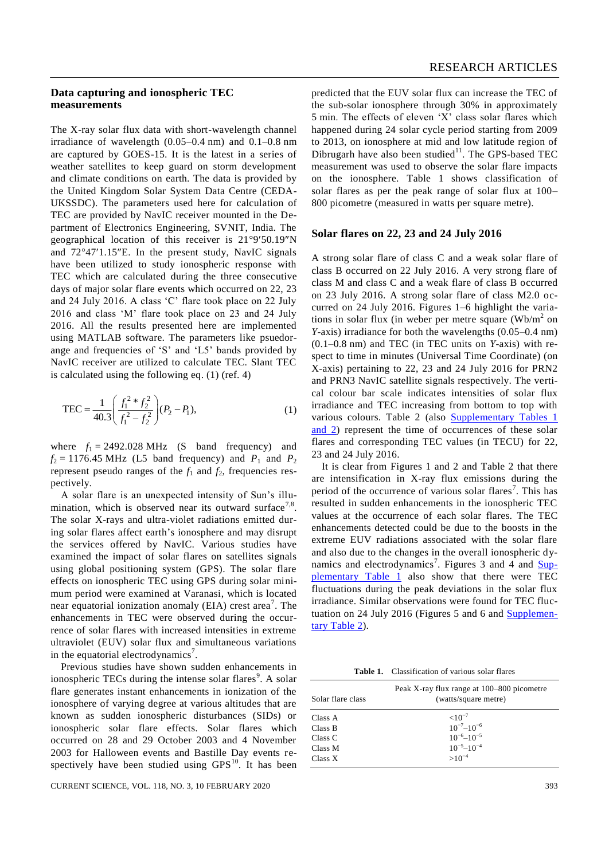## **Data capturing and ionospheric TEC measurements**

The X-ray solar flux data with short-wavelength channel irradiance of wavelength (0.05–0.4 nm) and 0.1–0.8 nm are captured by GOES-15. It is the latest in a series of weather satellites to keep guard on storm development and climate conditions on earth. The data is provided by the United Kingdom Solar System Data Centre (CEDA-UKSSDC). The parameters used here for calculation of TEC are provided by NavIC receiver mounted in the Department of Electronics Engineering, SVNIT, India. The geographical location of this receiver is  $21^{\circ}9'50.19''N$ and  $72^{\circ}47'1.15''E$ . In the present study, NavIC signals have been utilized to study ionospheric response with TEC which are calculated during the three consecutive days of major solar flare events which occurred on 22, 23 and 24 July 2016. A class 'C' flare took place on 22 July 2016 and class 'M' flare took place on 23 and 24 July 2016. All the results presented here are implemented using MATLAB software. The parameters like psuedorange and frequencies of 'S' and 'L5' bands provided by NavIC receiver are utilized to calculate TEC. Slant TEC is calculated using the following eq. (1) (ref. 4)

$$
\text{TEC} = \frac{1}{40.3} \left( \frac{f_1^2 * f_2^2}{f_1^2 - f_2^2} \right) (P_2 - P_1),\tag{1}
$$

where  $f_1 = 2492.028 \text{ MHz}$  (S band frequency) and  $f_2 = 1176.45 \text{ MHz}$  (L5 band frequency) and  $P_1$  and  $P_2$ represent pseudo ranges of the  $f_1$  and  $f_2$ , frequencies respectively.

A solar flare is an unexpected intensity of Sun's illumination, which is observed near its outward surface<sup>7,8</sup>. The solar X-rays and ultra-violet radiations emitted during solar flares affect earth's ionosphere and may disrupt the services offered by NavIC. Various studies have examined the impact of solar flares on satellites signals using global positioning system (GPS). The solar flare effects on ionospheric TEC using GPS during solar minimum period were examined at Varanasi, which is located near equatorial ionization anomaly (EIA) crest area<sup>7</sup>. The enhancements in TEC were observed during the occurrence of solar flares with increased intensities in extreme ultraviolet (EUV) solar flux and simultaneous variations in the equatorial electrodynamics<sup>7</sup>.

Previous studies have shown sudden enhancements in ionospheric TECs during the intense solar flares<sup>9</sup>. A solar flare generates instant enhancements in ionization of the ionosphere of varying degree at various altitudes that are known as sudden ionospheric disturbances (SIDs) or ionospheric solar flare effects. Solar flares which occurred on 28 and 29 October 2003 and 4 November 2003 for Halloween events and Bastille Day events respectively have been studied using  $GPS^{10}$ . It has been

predicted that the EUV solar flux can increase the TEC of the sub-solar ionosphere through 30% in approximately 5 min. The effects of eleven 'X' class solar flares which happened during 24 solar cycle period starting from 2009 to 2013, on ionosphere at mid and low latitude region of Dibrugarh have also been studied $11$ . The GPS-based TEC measurement was used to observe the solar flare impacts on the ionosphere. Table 1 shows classification of solar flares as per the peak range of solar flux at 100– 800 picometre (measured in watts per square metre).

#### **Solar flares on 22, 23 and 24 July 2016**

A strong solar flare of class C and a weak solar flare of class B occurred on 22 July 2016. A very strong flare of class M and class C and a weak flare of class B occurred on 23 July 2016. A strong solar flare of class M2.0 occurred on 24 July 2016. Figures 1–6 highlight the variations in solar flux (in weber per metre square  $(Wb/m^2)$  on *Y*-axis) irradiance for both the wavelengths (0.05–0.4 nm) (0.1–0.8 nm) and TEC (in TEC units on *Y*-axis) with respect to time in minutes (Universal Time Coordinate) (on X-axis) pertaining to 22, 23 and 24 July 2016 for PRN2 and PRN3 NavIC satellite signals respectively. The vertical colour bar scale indicates intensities of solar flux irradiance and TEC increasing from bottom to top with various colours. Table 2 (also [Supplementary Tables](https://www.currentscience.ac.in/Volumes/118/03/0392-suppl.pdf) 1 [and 2\)](https://www.currentscience.ac.in/Volumes/118/03/0392-suppl.pdf) represent the time of occurrences of these solar flares and corresponding TEC values (in TECU) for 22, 23 and 24 July 2016.

It is clear from Figures 1 and 2 and Table 2 that there are intensification in X-ray flux emissions during the period of the occurrence of various solar flares<sup>7</sup>. This has resulted in sudden enhancements in the ionospheric TEC values at the occurrence of each solar flares. The TEC enhancements detected could be due to the boosts in the extreme EUV radiations associated with the solar flare and also due to the changes in the overall ionospheric dynamics and electrodynamics<sup>7</sup>. Figures 3 and 4 and **Sup**[plementary Table 1](https://www.currentscience.ac.in/Volumes/118/03/0392-suppl.pdf) also show that there were TEC fluctuations during the peak deviations in the solar flux irradiance. Similar observations were found for TEC fluctuation on 24 July 2016 (Figures 5 and 6 and [Supplemen](https://www.currentscience.ac.in/Volumes/118/03/0392-suppl.pdf)[tary Table 2\)](https://www.currentscience.ac.in/Volumes/118/03/0392-suppl.pdf).

**Table 1.** Classification of various solar flares

| Solar flare class | Peak X-ray flux range at 100–800 picometre<br>(watts/square metre) |  |  |  |  |  |
|-------------------|--------------------------------------------------------------------|--|--|--|--|--|
| Class A           | ${<}10^{-7}$                                                       |  |  |  |  |  |
| Class B           | $10^{-7} - 10^{-6}$                                                |  |  |  |  |  |
| Class C           | $10^{-6} - 10^{-5}$                                                |  |  |  |  |  |
| Class M           | $10^{-5} - 10^{-4}$                                                |  |  |  |  |  |
| Class X           | $>10^{-4}$                                                         |  |  |  |  |  |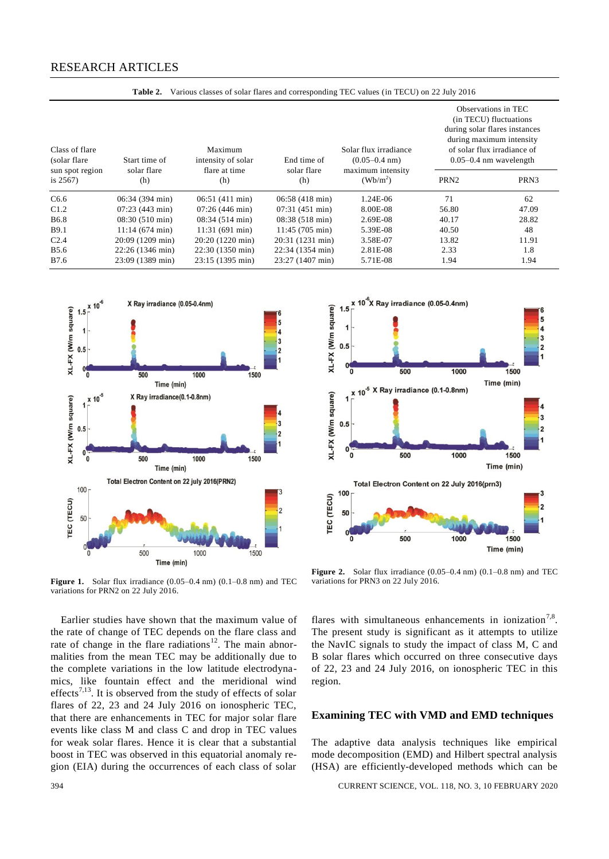| Class of flare<br>(solar flare)<br>sun spot region<br>is $2567$ ) | Start time of            | Maximum<br>intensity of solar | End time of              | Solar flux irradiance<br>$(0.05 - 0.4$ nm) | Observations in TEC<br>(in TECU) fluctuations<br>during solar flares instances<br>during maximum intensity<br>of solar flux irradiance of<br>$0.05 - 0.4$ nm wavelength |                  |  |
|-------------------------------------------------------------------|--------------------------|-------------------------------|--------------------------|--------------------------------------------|-------------------------------------------------------------------------------------------------------------------------------------------------------------------------|------------------|--|
|                                                                   | solar flare<br>(h)       | flare at time<br>(h)          | solar flare<br>(h)       | maximum intensity<br>$(Wb/m^2)$            | PRN <sub>2</sub>                                                                                                                                                        | PRN <sub>3</sub> |  |
| C6.6                                                              | $06:34(394 \text{ min})$ | $06:51(411 \text{ min})$      | $06:58(418 \text{ min})$ | $1.24E-06$                                 | 71                                                                                                                                                                      | 62               |  |
| C1.2                                                              | $07:23(443 \text{ min})$ | $07:26(446 \text{ min})$      | $07:31(451 \text{ min})$ | 8.00E-08                                   | 56.80                                                                                                                                                                   | 47.09            |  |
| <b>B6.8</b>                                                       | $08:30(510 \text{ min})$ | $08:34(514 \text{ min})$      | $08:38(518 \text{ min})$ | 2.69E-08                                   | 40.17                                                                                                                                                                   | 28.82            |  |
| <b>B</b> 9.1                                                      | $11:14(674 \text{ min})$ | $11:31(691 \text{ min})$      | $11:45(705 \text{ min})$ | 5.39E-08                                   | 40.50                                                                                                                                                                   | 48               |  |
| C <sub>2.4</sub>                                                  | 20:09 (1209 min)         | 20:20 (1220 min)              | 20:31 (1231 min)         | 3.58E-07                                   | 13.82                                                                                                                                                                   | 11.91            |  |
| <b>B5.6</b>                                                       | 22:26 (1346 min)         | 22:30 (1350 min)              | 22:34 (1354 min)         | 2.81E-08                                   | 2.33                                                                                                                                                                    | 1.8              |  |
| <b>B</b> 7.6                                                      | 23:09 (1389 min)         | 23:15 (1395 min)              | 23:27 (1407 min)         | 5.71E-08                                   | 1.94                                                                                                                                                                    | 1.94             |  |



**Figure 1.** Solar flux irradiance (0.05–0.4 nm) (0.1–0.8 nm) and TEC variations for PRN2 on 22 July 2016.

Earlier studies have shown that the maximum value of the rate of change of TEC depends on the flare class and rate of change in the flare radiations<sup>12</sup>. The main abnormalities from the mean TEC may be additionally due to the complete variations in the low latitude electrodynamics, like fountain effect and the meridional wind effects<sup>7,13</sup>. It is observed from the study of effects of solar flares of 22, 23 and 24 July 2016 on ionospheric TEC, that there are enhancements in TEC for major solar flare events like class M and class C and drop in TEC values for weak solar flares. Hence it is clear that a substantial boost in TEC was observed in this equatorial anomaly region (EIA) during the occurrences of each class of solar



Figure 2. Solar flux irradiance (0.05–0.4 nm) (0.1–0.8 nm) and TEC variations for PRN3 on 22 July 2016.

flares with simultaneous enhancements in ionization<sup>7,8</sup>. The present study is significant as it attempts to utilize the NavIC signals to study the impact of class M, C and B solar flares which occurred on three consecutive days of 22, 23 and 24 July 2016, on ionospheric TEC in this region.

## **Examining TEC with VMD and EMD techniques**

The adaptive data analysis techniques like empirical mode decomposition (EMD) and Hilbert spectral analysis (HSA) are efficiently-developed methods which can be

394 CURRENT SCIENCE, VOL. 118, NO. 3, 10 FEBRUARY 2020

**Table 2.** Various classes of solar flares and corresponding TEC values (in TECU) on 22 July 2016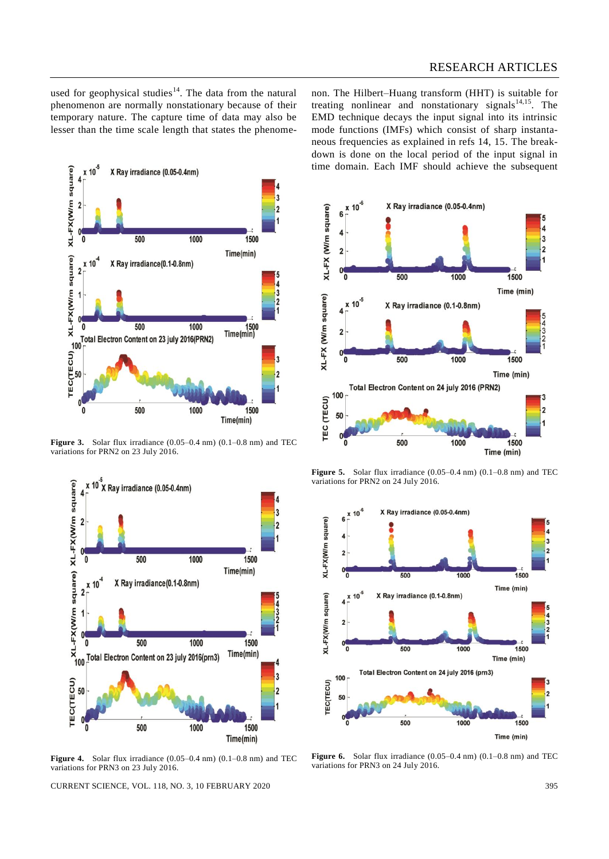used for geophysical studies<sup>14</sup>. The data from the natural phenomenon are normally nonstationary because of their temporary nature. The capture time of data may also be lesser than the time scale length that states the phenomenon. The Hilbert–Huang transform (HHT) is suitable for treating nonlinear and nonstationary signals $14,15$ . The EMD technique decays the input signal into its intrinsic mode functions (IMFs) which consist of sharp instantaneous frequencies as explained in refs 14, 15. The breakdown is done on the local period of the input signal in time domain. Each IMF should achieve the subsequent



Figure 3. Solar flux irradiance (0.05–0.4 nm) (0.1–0.8 nm) and TEC variations for PRN2 on 23 July 2016.



Figure 4. Solar flux irradiance  $(0.05-0.4 \text{ nm})$   $(0.1-0.8 \text{ nm})$  and TEC variations for PRN3 on 23 July 2016.

CURRENT SCIENCE, VOL. 118, NO. 3, 10 FEBRUARY 2020 395



Figure 5. Solar flux irradiance (0.05–0.4 nm) (0.1–0.8 nm) and TEC variations for PRN2 on 24 July 2016.



**Figure 6.** Solar flux irradiance (0.05–0.4 nm) (0.1–0.8 nm) and TEC variations for PRN3 on 24 July 2016.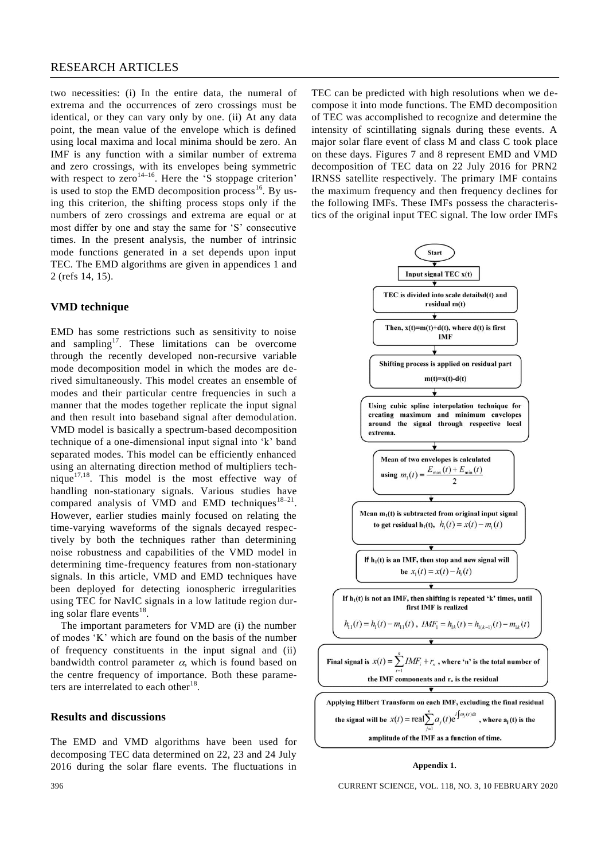## RESEARCH ARTICLES

two necessities: (i) In the entire data, the numeral of extrema and the occurrences of zero crossings must be identical, or they can vary only by one. (ii) At any data point, the mean value of the envelope which is defined using local maxima and local minima should be zero. An IMF is any function with a similar number of extrema and zero crossings, with its envelopes being symmetric with respect to zero<sup>14–16</sup>. Here the 'S stoppage criterion' is used to stop the EMD decomposition process<sup>16</sup>. By using this criterion, the shifting process stops only if the numbers of zero crossings and extrema are equal or at most differ by one and stay the same for 'S' consecutive times. In the present analysis, the number of intrinsic mode functions generated in a set depends upon input TEC. The EMD algorithms are given in appendices 1 and 2 (refs 14, 15).

## **VMD technique**

EMD has some restrictions such as sensitivity to noise and sampling<sup>17</sup>. These limitations can be overcome through the recently developed non-recursive variable mode decomposition model in which the modes are derived simultaneously. This model creates an ensemble of modes and their particular centre frequencies in such a manner that the modes together replicate the input signal and then result into baseband signal after demodulation. VMD model is basically a spectrum-based decomposition technique of a one-dimensional input signal into 'k' band separated modes. This model can be efficiently enhanced using an alternating direction method of multipliers technique $17,18$ . This model is the most effective way of handling non-stationary signals. Various studies have compared analysis of VMD and EMD techniques  $18-21$ . However, earlier studies mainly focused on relating the time-varying waveforms of the signals decayed respectively by both the techniques rather than determining noise robustness and capabilities of the VMD model in determining time-frequency features from non-stationary signals. In this article, VMD and EMD techniques have been deployed for detecting ionospheric irregularities using TEC for NavIC signals in a low latitude region during solar flare events $^{18}$ .

The important parameters for VMD are (i) the number of modes 'K' which are found on the basis of the number of frequency constituents in the input signal and (ii) bandwidth control parameter  $\alpha$ , which is found based on the centre frequency of importance. Both these parameters are interrelated to each other<sup>18</sup>.

## **Results and discussions**

The EMD and VMD algorithms have been used for decomposing TEC data determined on 22, 23 and 24 July 2016 during the solar flare events. The fluctuations in TEC can be predicted with high resolutions when we decompose it into mode functions. The EMD decomposition of TEC was accomplished to recognize and determine the intensity of scintillating signals during these events. A major solar flare event of class M and class C took place on these days. Figures 7 and 8 represent EMD and VMD decomposition of TEC data on 22 July 2016 for PRN2 IRNSS satellite respectively. The primary IMF contains the maximum frequency and then frequency declines for the following IMFs. These IMFs possess the characteristics of the original input TEC signal. The low order IMFs



#### **Appendix 1.**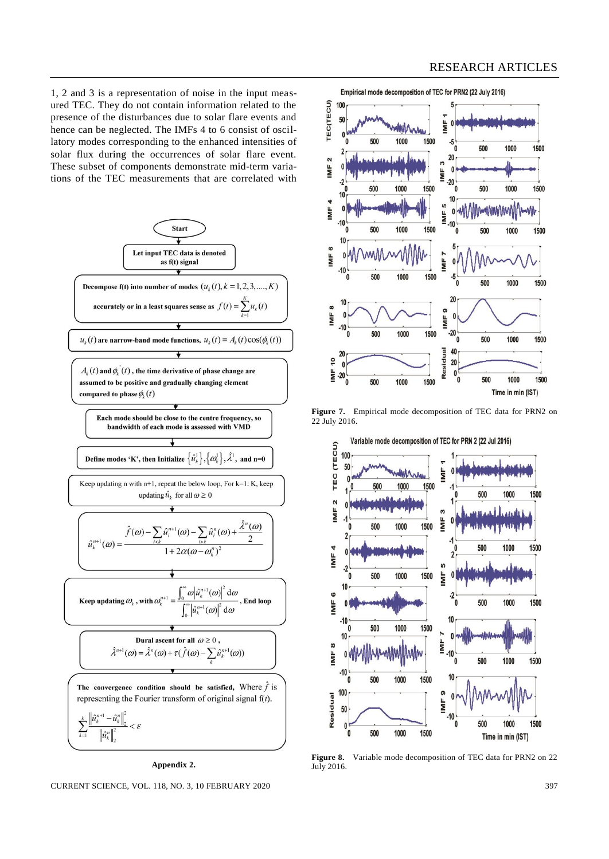1, 2 and 3 is a representation of noise in the input measured TEC. They do not contain information related to the presence of the disturbances due to solar flare events and hence can be neglected. The IMFs 4 to 6 consist of oscillatory modes corresponding to the enhanced intensities of solar flux during the occurrences of solar flare event. These subset of components demonstrate mid-term variations of the TEC measurements that are correlated with



Empirical mode decomposition of TEC for PRN2 (22 July 2016)



**Figure 7.** Empirical mode decomposition of TEC data for PRN2 on 22 July 2016.



**Figure 8.** Variable mode decomposition of TEC data for PRN2 on 22 July 2016.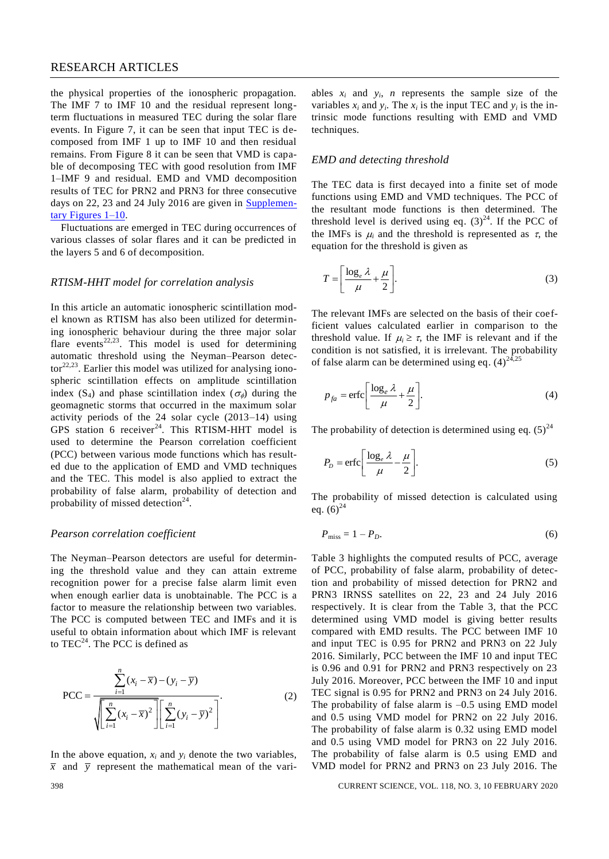## RESEARCH ARTICLES

the physical properties of the ionospheric propagation. The IMF 7 to IMF 10 and the residual represent longterm fluctuations in measured TEC during the solar flare events. In Figure 7, it can be seen that input TEC is decomposed from IMF 1 up to IMF 10 and then residual remains. From Figure 8 it can be seen that VMD is capable of decomposing TEC with good resolution from IMF 1–IMF 9 and residual. EMD and VMD decomposition results of TEC for PRN2 and PRN3 for three consecutive days on 22, 23 and 24 July 2016 are given in [Supplemen](https://www.currentscience.ac.in/Volumes/118/03/0392-suppl.pdf)[tary Figures](https://www.currentscience.ac.in/Volumes/118/03/0392-suppl.pdf) 1–10.

Fluctuations are emerged in TEC during occurrences of various classes of solar flares and it can be predicted in the layers 5 and 6 of decomposition.

## *RTISM-HHT model for correlation analysis*

In this article an automatic ionospheric scintillation model known as RTISM has also been utilized for determining ionospheric behaviour during the three major solar flare events<sup>22,23</sup>. This model is used for determining automatic threshold using the Neyman–Pearson detec $tor<sup>22,23</sup>$ . Earlier this model was utilized for analysing ionospheric scintillation effects on amplitude scintillation index (S<sub>4</sub>) and phase scintillation index ( $\sigma_{\phi}$ ) during the geomagnetic storms that occurred in the maximum solar activity periods of the 24 solar cycle (2013–14) using GPS station 6 receiver<sup>24</sup>. This RTISM-HHT model is used to determine the Pearson correlation coefficient (PCC) between various mode functions which has resulted due to the application of EMD and VMD techniques and the TEC. This model is also applied to extract the probability of false alarm, probability of detection and probability of missed detection<sup>24</sup>.

## *Pearson correlation coefficient*

The Neyman–Pearson detectors are useful for determining the threshold value and they can attain extreme recognition power for a precise false alarm limit even when enough earlier data is unobtainable. The PCC is a factor to measure the relationship between two variables. The PCC is computed between TEC and IMFs and it is useful to obtain information about which IMF is relevant to  $TEC<sup>24</sup>$ . The PCC is defined as

$$
PCC = \frac{\sum_{i=1}^{n} (x_i - \overline{x}) - (y_i - \overline{y})}{\sqrt{\sum_{i=1}^{n} (x_i - \overline{x})^2} \left[ \sum_{i=1}^{n} (y_i - \overline{y})^2 \right]}.
$$
 (2)

In the above equation,  $x_i$  and  $y_i$  denote the two variables,  $\bar{x}$  and  $\bar{y}$  represent the mathematical mean of the vari-

ables  $x_i$  and  $y_i$ , *n* represents the sample size of the variables  $x_i$  and  $y_i$ . The  $x_i$  is the input TEC and  $y_i$  is the intrinsic mode functions resulting with EMD and VMD techniques.

## *EMD and detecting threshold*

The TEC data is first decayed into a finite set of mode functions using EMD and VMD techniques. The PCC of the resultant mode functions is then determined. The threshold level is derived using eq.  $(3)^{24}$ . If the PCC of the IMFs is  $\mu_i$  and the threshold is represented as  $\tau$ , the equation for the threshold is given as

$$
T = \left[\frac{\log_e \lambda}{\mu} + \frac{\mu}{2}\right].
$$
 (3)

The relevant IMFs are selected on the basis of their coefficient values calculated earlier in comparison to the threshold value. If  $\mu_i \geq \tau$ , the IMF is relevant and if the condition is not satisfied, it is irrelevant. The probability of false alarm can be determined using eq.  $(4)^{24,25}$ 

$$
p_{fa} = \text{erfc}\bigg[\frac{\log_e \lambda}{\mu} + \frac{\mu}{2}\bigg].\tag{4}
$$

The probability of detection is determined using eq.  $(5)^{24}$ 

$$
P_D = \text{erfc}\bigg[\frac{\log_e \lambda}{\mu} - \frac{\mu}{2}\bigg].\tag{5}
$$

The probability of missed detection is calculated using eq.  $(6)^{24}$ 

$$
P_{\text{miss}} = 1 - P_D. \tag{6}
$$

Table 3 highlights the computed results of PCC, average of PCC, probability of false alarm, probability of detection and probability of missed detection for PRN2 and PRN3 IRNSS satellites on 22, 23 and 24 July 2016 respectively. It is clear from the Table 3, that the PCC determined using VMD model is giving better results compared with EMD results. The PCC between IMF 10 and input TEC is 0.95 for PRN2 and PRN3 on 22 July 2016. Similarly, PCC between the IMF 10 and input TEC is 0.96 and 0.91 for PRN2 and PRN3 respectively on 23 July 2016. Moreover, PCC between the IMF 10 and input TEC signal is 0.95 for PRN2 and PRN3 on 24 July 2016. The probability of false alarm is  $-0.5$  using EMD model and 0.5 using VMD model for PRN2 on 22 July 2016. The probability of false alarm is 0.32 using EMD model and 0.5 using VMD model for PRN3 on 22 July 2016. The probability of false alarm is 0.5 using EMD and VMD model for PRN2 and PRN3 on 23 July 2016. The

398 CURRENT SCIENCE, VOL. 118, NO. 3, 10 FEBRUARY 2020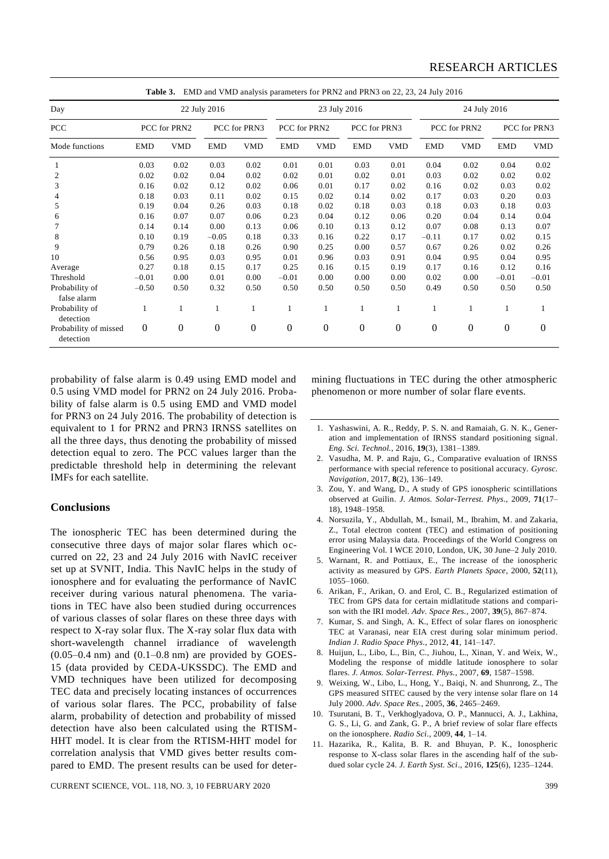| Day                                | 22 July 2016     |                  |                  |                  | 23 July 2016     |                  |                  | 24 July 2016     |                  |                  |                  |            |
|------------------------------------|------------------|------------------|------------------|------------------|------------------|------------------|------------------|------------------|------------------|------------------|------------------|------------|
| PCC<br>Mode functions              | PCC for PRN2     |                  | PCC for PRN3     |                  | PCC for PRN2     |                  | PCC for PRN3     |                  | PCC for PRN2     |                  | PCC for PRN3     |            |
|                                    | <b>EMD</b>       | <b>VMD</b>       | <b>EMD</b>       | <b>VMD</b>       | <b>EMD</b>       | <b>VMD</b>       | <b>EMD</b>       | <b>VMD</b>       | <b>EMD</b>       | <b>VMD</b>       | <b>EMD</b>       | <b>VMD</b> |
|                                    | 0.03             | 0.02             | 0.03             | 0.02             | 0.01             | 0.01             | 0.03             | 0.01             | 0.04             | 0.02             | 0.04             | 0.02       |
| $\overline{c}$                     | 0.02             | 0.02             | 0.04             | 0.02             | 0.02             | 0.01             | 0.02             | 0.01             | 0.03             | 0.02             | 0.02             | 0.02       |
| 3                                  | 0.16             | 0.02             | 0.12             | 0.02             | 0.06             | 0.01             | 0.17             | 0.02             | 0.16             | 0.02             | 0.03             | 0.02       |
|                                    | 0.18             | 0.03             | 0.11             | 0.02             | 0.15             | 0.02             | 0.14             | 0.02             | 0.17             | 0.03             | 0.20             | 0.03       |
| 5                                  | 0.19             | 0.04             | 0.26             | 0.03             | 0.18             | 0.02             | 0.18             | 0.03             | 0.18             | 0.03             | 0.18             | 0.03       |
| 6                                  | 0.16             | 0.07             | 0.07             | 0.06             | 0.23             | 0.04             | 0.12             | 0.06             | 0.20             | 0.04             | 0.14             | 0.04       |
|                                    | 0.14             | 0.14             | 0.00             | 0.13             | 0.06             | 0.10             | 0.13             | 0.12             | 0.07             | 0.08             | 0.13             | 0.07       |
| 8                                  | 0.10             | 0.19             | $-0.05$          | 0.18             | 0.33             | 0.16             | 0.22             | 0.17             | $-0.11$          | 0.17             | 0.02             | 0.15       |
| 9                                  | 0.79             | 0.26             | 0.18             | 0.26             | 0.90             | 0.25             | 0.00             | 0.57             | 0.67             | 0.26             | 0.02             | 0.26       |
| 10                                 | 0.56             | 0.95             | 0.03             | 0.95             | 0.01             | 0.96             | 0.03             | 0.91             | 0.04             | 0.95             | 0.04             | 0.95       |
| Average                            | 0.27             | 0.18             | 0.15             | 0.17             | 0.25             | 0.16             | 0.15             | 0.19             | 0.17             | 0.16             | 0.12             | 0.16       |
| Threshold                          | $-0.01$          | 0.00             | 0.01             | 0.00             | $-0.01$          | 0.00             | 0.00             | 0.00             | 0.02             | 0.00             | $-0.01$          | $-0.01$    |
| Probability of<br>false alarm      | $-0.50$          | 0.50             | 0.32             | 0.50             | 0.50             | 0.50             | 0.50             | 0.50             | 0.49             | 0.50             | 0.50             | 0.50       |
| Probability of<br>detection        |                  | 1                | 1                | 1                |                  | 1                |                  | 1                | 1                |                  | 1                | 1          |
| Probability of missed<br>detection | $\boldsymbol{0}$ | $\boldsymbol{0}$ | $\boldsymbol{0}$ | $\boldsymbol{0}$ | $\boldsymbol{0}$ | $\boldsymbol{0}$ | $\boldsymbol{0}$ | $\boldsymbol{0}$ | $\boldsymbol{0}$ | $\boldsymbol{0}$ | $\boldsymbol{0}$ | $\theta$   |

**Table 3.** EMD and VMD analysis parameters for PRN2 and PRN3 on 22, 23, 24 July 2016

probability of false alarm is 0.49 using EMD model and 0.5 using VMD model for PRN2 on 24 July 2016. Probability of false alarm is 0.5 using EMD and VMD model for PRN3 on 24 July 2016. The probability of detection is equivalent to 1 for PRN2 and PRN3 IRNSS satellites on all the three days, thus denoting the probability of missed detection equal to zero. The PCC values larger than the predictable threshold help in determining the relevant IMFs for each satellite.

## **Conclusions**

The ionospheric TEC has been determined during the consecutive three days of major solar flares which occurred on 22, 23 and 24 July 2016 with NavIC receiver set up at SVNIT, India. This NavIC helps in the study of ionosphere and for evaluating the performance of NavIC receiver during various natural phenomena. The variations in TEC have also been studied during occurrences of various classes of solar flares on these three days with respect to X-ray solar flux. The X-ray solar flux data with short-wavelength channel irradiance of wavelength  $(0.05-0.4 \text{ nm})$  and  $(0.1-0.8 \text{ nm})$  are provided by GOES-15 (data provided by CEDA-UKSSDC). The EMD and VMD techniques have been utilized for decomposing TEC data and precisely locating instances of occurrences of various solar flares. The PCC, probability of false alarm, probability of detection and probability of missed detection have also been calculated using the RTISM-HHT model. It is clear from the RTISM-HHT model for correlation analysis that VMD gives better results compared to EMD. The present results can be used for deter-

CURRENT SCIENCE, VOL. 118, NO. 3, 10 FEBRUARY 2020 399

mining fluctuations in TEC during the other atmospheric phenomenon or more number of solar flare events.

- 1. Yashaswini, A. R., Reddy, P. S. N. and Ramaiah, G. N. K., Generation and implementation of IRNSS standard positioning signal. *Eng. Sci. Technol.*, 2016, **19**(3), 1381–1389.
- 2. Vasudha, M. P. and Raju, G., Comparative evaluation of IRNSS performance with special reference to positional accuracy. *Gyrosc. Navigation*, 2017, **8**(2), 136–149.
- 3. Zou, Y. and Wang, D., A study of GPS ionospheric scintillations observed at Guilin. *J. Atmos. Solar-Terrest. Phys.*, 2009, **71**(17– 18), 1948–1958.
- 4. Norsuzila, Y., Abdullah, M., Ismail, M., Ibrahim, M. and Zakaria, Z., Total electron content (TEC) and estimation of positioning error using Malaysia data. Proceedings of the World Congress on Engineering Vol. I WCE 2010, London, UK, 30 June–2 July 2010.
- 5. Warnant, R. and Pottiaux, E., The increase of the ionospheric activity as measured by GPS. *Earth Planets Space*, 2000, **52**(11), 1055–1060.
- 6. Arikan, F., Arikan, O. and Erol, C. B., Regularized estimation of TEC from GPS data for certain midlatitude stations and comparison with the IRI model. *Adv. Space Res.*, 2007, **39**(5), 867–874.
- 7. Kumar, S. and Singh, A. K., Effect of solar flares on ionospheric TEC at Varanasi, near EIA crest during solar minimum period. *Indian J. Radio Space Phys.*, 2012, **41**, 141–147.
- 8. Huijun, L., Libo, L., Bin, C., Jiuhou, L., Xinan, Y. and Weix, W., Modeling the response of middle latitude ionosphere to solar flares. *J. Atmos. Solar-Terrest. Phys.*, 2007, **69**, 1587–1598.
- 9. Weixing, W., Libo, L., Hong, Y., Baiqi, N. and Shunrong, Z., The GPS measured SITEC caused by the very intense solar flare on 14 July 2000. *Adv. Space Res.*, 2005, **36**, 2465–2469.
- 10. Tsurutani, B. T., Verkhoglyadova, O. P., Mannucci, A. J., Lakhina, G. S., Li, G. and Zank, G. P., A brief review of solar flare effects on the ionosphere. *Radio Sci.*, 2009, **44**, 1–14.
- 11. Hazarika, R., Kalita, B. R. and Bhuyan, P. K., Ionospheric response to X-class solar flares in the ascending half of the subdued solar cycle 24. *J. Earth Syst. Sci*., 2016, **125**(6), 1235–1244.